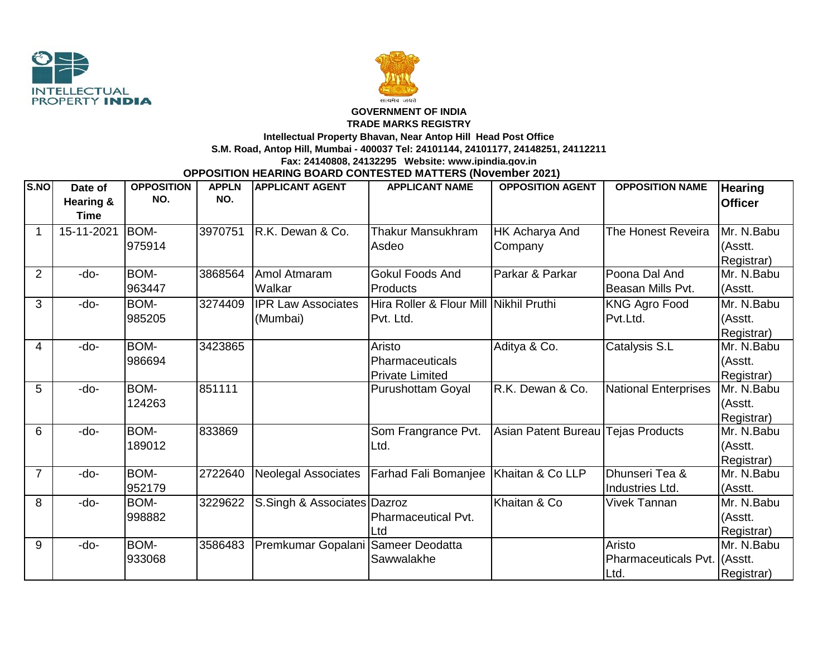



## **GOVERNMENT OF INDIA**

**TRADE MARKS REGISTRY**

**Intellectual Property Bhavan, Near Antop Hill Head Post Office**

**S.M. Road, Antop Hill, Mumbai - 400037 Tel: 24101144, 24101177, 24148251, 24112211**

## **Fax: 24140808, 24132295 Website: www.ipindia.gov.in**

**OPPOSITION HEARING BOARD CONTESTED MATTERS (November 2021)**

| S.NO           | Date of              | <b>OPPOSITION</b> | <b>APPLN</b> | <b>APPLICANT AGENT</b>             | <b>APPLICANT NAME</b>                   | <b>OPPOSITION AGENT</b>            | <b>OPPOSITION NAME</b>       | <b>Hearing</b> |
|----------------|----------------------|-------------------|--------------|------------------------------------|-----------------------------------------|------------------------------------|------------------------------|----------------|
|                | <b>Hearing &amp;</b> | NO.               | NO.          |                                    |                                         |                                    |                              | <b>Officer</b> |
|                | <b>Time</b>          |                   |              |                                    |                                         |                                    |                              |                |
| 1              | 15-11-2021           | BOM-              | 3970751      | IR.K. Dewan & Co.                  | <b>Thakur Mansukhram</b>                | HK Acharya And                     | The Honest Reveira           | Mr. N.Babu     |
|                |                      | 975914            |              |                                    | Asdeo                                   | Company                            |                              | (Asstt.        |
|                |                      |                   |              |                                    |                                         |                                    |                              | Registrar)     |
| $\overline{2}$ | -do-                 | BOM-              | 3868564      | Amol Atmaram                       | <b>Gokul Foods And</b>                  | Parkar & Parkar                    | Poona Dal And                | Mr. N.Babu     |
|                |                      | 963447            |              | Walkar                             | Products                                |                                    | Beasan Mills Pvt.            | (Asstt.        |
| 3              | -do-                 | BOM-              | 3274409      | <b>IPR Law Associates</b>          | Hira Roller & Flour Mill Nikhil Pruthi  |                                    | <b>KNG Agro Food</b>         | Mr. N.Babu     |
|                |                      | 985205            |              | (Mumbai)                           | Pvt. Ltd.                               |                                    | Pvt.Ltd.                     | (Asstt.        |
|                |                      |                   |              |                                    |                                         |                                    |                              | Registrar)     |
| 4              | -do-                 | BOM-              | 3423865      |                                    | Aristo                                  | Aditya & Co.                       | Catalysis S.L                | Mr. N.Babu     |
|                |                      | 986694            |              |                                    | Pharmaceuticals                         |                                    |                              | (Asstt.        |
|                |                      |                   |              |                                    | <b>Private Limited</b>                  |                                    |                              | Registrar)     |
| 5              | -do-                 | BOM-              | 851111       |                                    | <b>Purushottam Goyal</b>                | R.K. Dewan & Co.                   | <b>National Enterprises</b>  | Mr. N.Babu     |
|                |                      | 124263            |              |                                    |                                         |                                    |                              | (Asstt.        |
|                |                      |                   |              |                                    |                                         |                                    |                              | Registrar)     |
| 6              | -do-                 | BOM-              | 833869       |                                    | Som Frangrance Pvt.                     | Asian Patent Bureau Tejas Products |                              | Mr. N.Babu     |
|                |                      | 189012            |              |                                    | Ltd.                                    |                                    |                              | (Asstt.        |
|                |                      |                   |              |                                    |                                         |                                    |                              | Registrar)     |
| $\overline{7}$ | -do-                 | BOM-              | 2722640      | <b>Neolegal Associates</b>         | Farhad Fali Bomanjee   Khaitan & Co LLP |                                    | Dhunseri Tea &               | Mr. N.Babu     |
|                |                      | 952179            |              |                                    |                                         |                                    | Industries Ltd.              | (Asstt.        |
| 8              | -do-                 | BOM-              | 3229622      | S.Singh & Associates Dazroz        |                                         | Khaitan & Co                       | <b>Vivek Tannan</b>          | Mr. N.Babu     |
|                |                      | 998882            |              |                                    | Pharmaceutical Pvt.                     |                                    |                              | (Asstt.        |
|                |                      |                   |              |                                    | Ltd                                     |                                    |                              | Registrar)     |
| 9              | -do-                 | <b>BOM-</b>       | 3586483      | Premkumar Gopalani Sameer Deodatta |                                         |                                    | Aristo                       | Mr. N.Babu     |
|                |                      | 933068            |              |                                    | Sawwalakhe                              |                                    | Pharmaceuticals Pvt. (Asstt. |                |
|                |                      |                   |              |                                    |                                         |                                    | Ltd.                         | Registrar)     |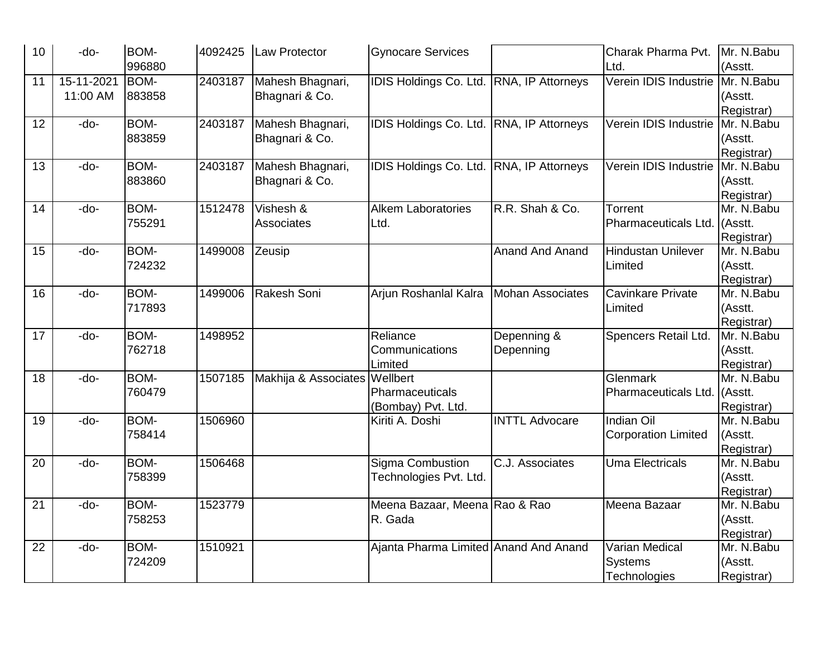| 10 | -do-       | <b>BOM-</b> | 4092425 | Law Protector        | <b>Gynocare Services</b>                 |                         | Charak Pharma Pvt.         | Mr. N.Babu |
|----|------------|-------------|---------|----------------------|------------------------------------------|-------------------------|----------------------------|------------|
|    |            | 996880      |         |                      |                                          |                         | Ltd.                       | (Asstt.    |
| 11 | 15-11-2021 | BOM-        | 2403187 | Mahesh Bhagnari,     | <b>IDIS Holdings Co. Ltd.</b>            | RNA, IP Attorneys       | Verein IDIS Industrie      | Mr. N.Babu |
|    | 11:00 AM   | 883858      |         | Bhagnari & Co.       |                                          |                         |                            | (Asstt.    |
|    |            |             |         |                      |                                          |                         |                            | Registrar) |
| 12 | -do-       | BOM-        | 2403187 | Mahesh Bhagnari,     | IDIS Holdings Co. Ltd. RNA, IP Attorneys |                         | Verein IDIS Industrie      | Mr. N.Babu |
|    |            | 883859      |         | Bhagnari & Co.       |                                          |                         |                            | (Asstt.    |
|    |            |             |         |                      |                                          |                         |                            | Registrar) |
| 13 | -do-       | BOM-        | 2403187 | Mahesh Bhagnari,     | IDIS Holdings Co. Ltd. RNA, IP Attorneys |                         | Verein IDIS Industrie      | Mr. N.Babu |
|    |            | 883860      |         | Bhagnari & Co.       |                                          |                         |                            | (Asstt.    |
|    |            |             |         |                      |                                          |                         |                            | Registrar) |
| 14 | -do-       | BOM-        | 1512478 | Vishesh &            | <b>Alkem Laboratories</b>                | R.R. Shah & Co.         | Torrent                    | Mr. N.Babu |
|    |            | 755291      |         | Associates           | Ltd.                                     |                         | Pharmaceuticals Ltd.       | (Asstt.    |
|    |            |             |         |                      |                                          |                         |                            | Registrar) |
| 15 | -do-       | BOM-        | 1499008 | Zeusip               |                                          | <b>Anand And Anand</b>  | Hindustan Unilever         | Mr. N.Babu |
|    |            | 724232      |         |                      |                                          |                         | Limited                    | (Asstt.    |
|    |            |             |         |                      |                                          |                         |                            | Registrar) |
| 16 | -do-       | BOM-        | 1499006 | Rakesh Soni          | Arjun Roshanlal Kalra                    | <b>Mohan Associates</b> | Cavinkare Private          | Mr. N.Babu |
|    |            | 717893      |         |                      |                                          |                         | Limited                    | (Asstt.    |
|    |            |             |         |                      |                                          |                         |                            | Registrar) |
| 17 | -do-       | BOM-        | 1498952 |                      | Reliance                                 | Depenning &             | Spencers Retail Ltd.       | Mr. N.Babu |
|    |            | 762718      |         |                      | Communications                           | Depenning               |                            | (Asstt.    |
|    |            |             |         |                      | Limited                                  |                         |                            | Registrar) |
| 18 | -do-       | BOM-        | 1507185 | Makhija & Associates | Wellbert                                 |                         | Glenmark                   | Mr. N.Babu |
|    |            | 760479      |         |                      | Pharmaceuticals                          |                         | Pharmaceuticals Ltd.       | (Asstt.    |
|    |            |             |         |                      | (Bombay) Pvt. Ltd.                       |                         |                            | Registrar) |
| 19 | -do-       | BOM-        | 1506960 |                      | Kiriti A. Doshi                          | <b>INTTL Advocare</b>   | <b>Indian Oil</b>          | Mr. N.Babu |
|    |            | 758414      |         |                      |                                          |                         | <b>Corporation Limited</b> | (Asstt.    |
|    |            |             |         |                      |                                          |                         |                            | Registrar) |
| 20 | -do-       | BOM-        | 1506468 |                      | Sigma Combustion                         | C.J. Associates         | <b>Uma Electricals</b>     | Mr. N.Babu |
|    |            | 758399      |         |                      | Technologies Pvt. Ltd.                   |                         |                            | (Asstt.    |
|    |            |             |         |                      |                                          |                         |                            | Registrar) |
| 21 | -do-       | BOM-        | 1523779 |                      | Meena Bazaar, Meena Rao & Rao            |                         | Meena Bazaar               | Mr. N.Babu |
|    |            | 758253      |         |                      | R. Gada                                  |                         |                            | (Asstt.    |
|    |            |             |         |                      |                                          |                         |                            | Registrar) |
| 22 | -do-       | BOM-        | 1510921 |                      | Ajanta Pharma Limited Anand And Anand    |                         | Varian Medical             | Mr. N.Babu |
|    |            | 724209      |         |                      |                                          |                         | Systems                    | (Asstt.    |
|    |            |             |         |                      |                                          |                         | Technologies               | Registrar) |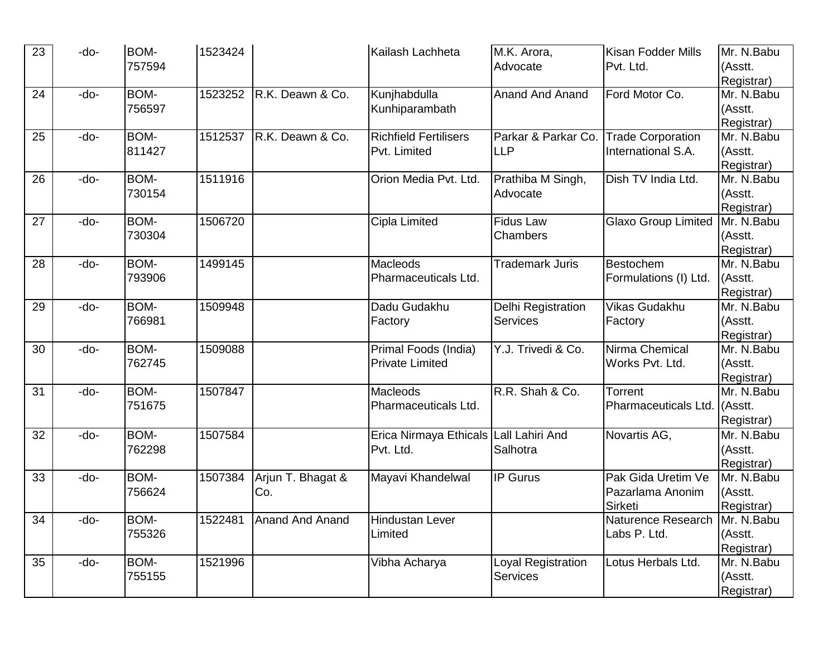| 23              | -do- | <b>BOM-</b> | 1523424 |                         | Kailash Lachheta                       | M.K. Arora,            | <b>Kisan Fodder Mills</b>        | Mr. N.Babu               |
|-----------------|------|-------------|---------|-------------------------|----------------------------------------|------------------------|----------------------------------|--------------------------|
|                 |      | 757594      |         |                         |                                        | Advocate               | Pvt. Ltd.                        | (Asstt.                  |
|                 |      |             |         |                         |                                        |                        |                                  | Registrar)               |
| 24              | -do- | BOM-        | 1523252 | R.K. Deawn & Co.        | Kunjhabdulla                           | <b>Anand And Anand</b> | Ford Motor Co.                   | Mr. N.Babu               |
|                 |      | 756597      |         |                         | Kunhiparambath                         |                        |                                  | (Asstt.                  |
|                 |      |             |         |                         |                                        |                        |                                  | Registrar)               |
| 25              | -do- | BOM-        | 1512537 | R.K. Deawn & Co.        | <b>Richfield Fertilisers</b>           | Parkar & Parkar Co.    | <b>Trade Corporation</b>         | Mr. N.Babu               |
|                 |      | 811427      |         |                         | Pvt. Limited                           | <b>LLP</b>             | International S.A.               | (Asstt.                  |
|                 |      |             |         |                         |                                        |                        |                                  | Registrar)               |
| 26              | -do- | BOM-        | 1511916 |                         | Orion Media Pvt. Ltd.                  | Prathiba M Singh,      | Dish TV India Ltd.               | $\overline{Mr. N.}$ Babu |
|                 |      | 730154      |         |                         |                                        | Advocate               |                                  | (Asstt.                  |
|                 |      |             |         |                         |                                        |                        |                                  | Registrar)               |
| 27              | -do- | BOM-        | 1506720 |                         | Cipla Limited                          | <b>Fidus Law</b>       | <b>Glaxo Group Limited</b>       | Mr. N.Babu               |
|                 |      | 730304      |         |                         |                                        | Chambers               |                                  | (Asstt.                  |
|                 |      |             |         |                         |                                        |                        |                                  | Registrar)               |
| 28              | -do- | BOM-        | 1499145 |                         | Macleods                               | <b>Trademark Juris</b> | Bestochem                        | Mr. N.Babu               |
|                 |      | 793906      |         |                         | Pharmaceuticals Ltd.                   |                        | Formulations (I) Ltd.            | (Asstt.                  |
|                 |      |             |         |                         |                                        |                        |                                  | Registrar)               |
| 29              | -do- | BOM-        | 1509948 |                         | Dadu Gudakhu                           | Delhi Registration     | Vikas Gudakhu                    | Mr. N.Babu               |
|                 |      | 766981      |         |                         | Factory                                | <b>Services</b>        | Factory                          | (Asstt.                  |
|                 |      |             |         |                         |                                        |                        |                                  | Registrar)               |
| 30              | -do- | BOM-        | 1509088 |                         | Primal Foods (India)                   | Y.J. Trivedi & Co.     | Nirma Chemical                   | Mr. N.Babu               |
|                 |      | 762745      |         |                         | <b>Private Limited</b>                 |                        | Works Pvt. Ltd.                  | (Asstt.                  |
|                 |      |             |         |                         |                                        |                        |                                  | Registrar)               |
| 31              | -do- | BOM-        | 1507847 |                         | Macleods                               | R.R. Shah & Co.        | Torrent                          | Mr. N.Babu               |
|                 |      | 751675      |         |                         | Pharmaceuticals Ltd.                   |                        | Pharmaceuticals Ltd.             | (Asstt.                  |
|                 |      |             |         |                         |                                        |                        |                                  | Registrar)               |
| 32              | -do- | BOM-        | 1507584 |                         | Erica Nirmaya Ethicals Lall Lahiri And |                        | Novartis AG,                     | Mr. N.Babu               |
|                 |      | 762298      |         |                         | Pvt. Ltd.                              | Salhotra               |                                  | (Asstt.                  |
|                 |      |             |         |                         |                                        |                        |                                  | Registrar)               |
| 33              | -do- | BOM-        | 1507384 | Arjun T. Bhagat &       | Mayavi Khandelwal                      | <b>IP Gurus</b>        | Pak Gida Uretim Ve               | Mr. N.Babu               |
|                 |      | 756624      |         | Co.                     |                                        |                        | Pazarlama Anonim                 | (Asstt.                  |
|                 |      |             |         |                         |                                        |                        | Sirketi                          | Registrar)               |
| $\overline{34}$ | -do- | BOM-        |         | 1522481 Anand And Anand | Hindustan Lever                        |                        | Naturence Research   Mr. N. Babu |                          |
|                 |      | 755326      |         |                         | Limited                                |                        | Labs P. Ltd.                     | (Asstt.                  |
|                 |      |             |         |                         |                                        |                        |                                  | Registrar)               |
| 35              | -do- | BOM-        | 1521996 |                         | Vibha Acharya                          | Loyal Registration     | Lotus Herbals Ltd.               | Mr. N.Babu               |
|                 |      | 755155      |         |                         |                                        | Services               |                                  | (Asstt.                  |
|                 |      |             |         |                         |                                        |                        |                                  | Registrar)               |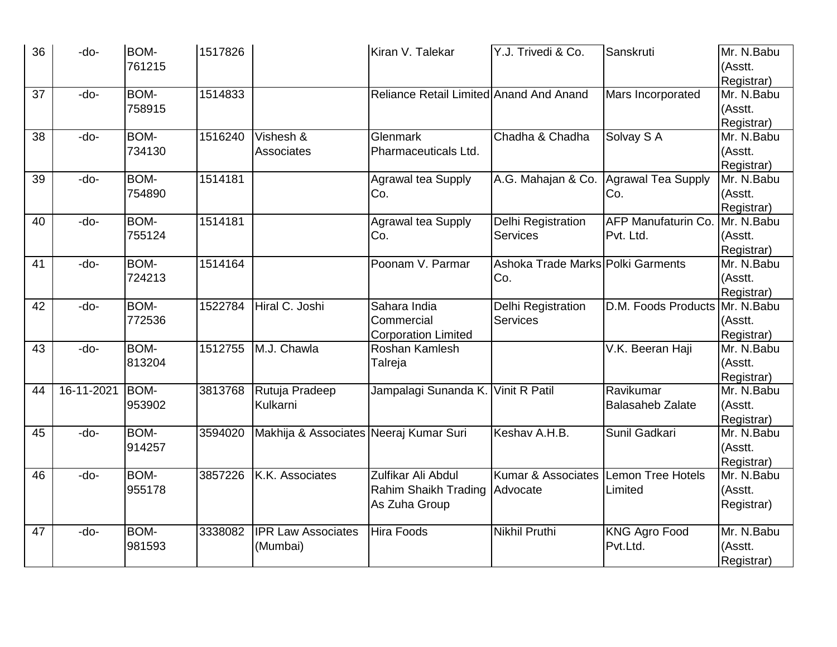| 36 | -do-       | BOM-   | 1517826 |                                        | Kiran V. Talekar                        | Y.J. Trivedi & Co.                | Sanskruti                  | Mr. N.Babu |
|----|------------|--------|---------|----------------------------------------|-----------------------------------------|-----------------------------------|----------------------------|------------|
|    |            | 761215 |         |                                        |                                         |                                   |                            | (Asstt.    |
|    |            |        |         |                                        |                                         |                                   |                            | Registrar) |
| 37 | -do-       | BOM-   | 1514833 |                                        | Reliance Retail Limited Anand And Anand |                                   | Mars Incorporated          | Mr. N.Babu |
|    |            | 758915 |         |                                        |                                         |                                   |                            | (Asstt.    |
|    |            |        |         |                                        |                                         |                                   |                            | Registrar) |
| 38 | -do-       | BOM-   | 1516240 | Vishesh &                              | Glenmark                                | Chadha & Chadha                   | Solvay S A                 | Mr. N.Babu |
|    |            | 734130 |         | Associates                             | Pharmaceuticals Ltd.                    |                                   |                            | (Asstt.    |
|    |            |        |         |                                        |                                         |                                   |                            | Registrar) |
| 39 | -do-       | BOM-   | 1514181 |                                        | <b>Agrawal tea Supply</b>               | A.G. Mahajan & Co.                | Agrawal Tea Supply         | Mr. N.Babu |
|    |            | 754890 |         |                                        | Co.                                     |                                   | Co.                        | (Asstt.    |
|    |            |        |         |                                        |                                         |                                   |                            | Registrar) |
| 40 | $-do-$     | BOM-   | 1514181 |                                        | <b>Agrawal tea Supply</b>               | Delhi Registration                | <b>AFP Manufaturin Co.</b> | Mr. N.Babu |
|    |            | 755124 |         |                                        | Co.                                     | <b>Services</b>                   | Pvt. Ltd.                  | (Asstt.    |
|    |            |        |         |                                        |                                         |                                   |                            | Registrar) |
| 41 | -do-       | BOM-   | 1514164 |                                        | Poonam V. Parmar                        | Ashoka Trade Marks Polki Garments |                            | Mr. N.Babu |
|    |            | 724213 |         |                                        |                                         | Co.                               |                            | (Asstt.    |
|    |            |        |         |                                        |                                         |                                   |                            | Registrar) |
| 42 | -do-       | BOM-   | 1522784 | Hiral C. Joshi                         | Sahara India                            | Delhi Registration                | D.M. Foods Products        | Mr. N.Babu |
|    |            | 772536 |         |                                        | Commercial                              | Services                          |                            | (Asstt.    |
|    |            |        |         |                                        | <b>Corporation Limited</b>              |                                   |                            | Registrar) |
| 43 | -do-       | BOM-   | 1512755 | M.J. Chawla                            | Roshan Kamlesh                          |                                   | V.K. Beeran Haji           | Mr. N.Babu |
|    |            | 813204 |         |                                        | Talreja                                 |                                   |                            | (Asstt.    |
|    |            |        |         |                                        |                                         |                                   |                            | Registrar) |
| 44 | 16-11-2021 | BOM-   | 3813768 | Rutuja Pradeep                         | Jampalagi Sunanda K. Vinit R Patil      |                                   | Ravikumar                  | Mr. N.Babu |
|    |            | 953902 |         | Kulkarni                               |                                         |                                   | <b>Balasaheb Zalate</b>    | (Asstt.    |
|    |            |        |         |                                        |                                         |                                   |                            | Registrar) |
| 45 | -do-       | BOM-   | 3594020 | Makhija & Associates Neeraj Kumar Suri |                                         | Keshav A.H.B.                     | Sunil Gadkari              | Mr. N.Babu |
|    |            | 914257 |         |                                        |                                         |                                   |                            | (Asstt.    |
|    |            |        |         |                                        |                                         |                                   |                            | Registrar) |
| 46 | -do-       | BOM-   | 3857226 | K.K. Associates                        | Zulfikar Ali Abdul                      | Kumar & Associates                | Lemon Tree Hotels          | Mr. N.Babu |
|    |            | 955178 |         |                                        | Rahim Shaikh Trading                    | Advocate                          | Limited                    | (Asstt.    |
|    |            |        |         |                                        | As Zuha Group                           |                                   |                            | Registrar) |
|    |            |        |         |                                        |                                         |                                   |                            |            |
| 47 | -do-       | BOM-   | 3338082 | <b>IPR Law Associates</b>              | <b>Hira Foods</b>                       | Nikhil Pruthi                     | <b>KNG Agro Food</b>       | Mr. N.Babu |
|    |            | 981593 |         | (Mumbai)                               |                                         |                                   | Pvt.Ltd.                   | (Asstt.    |
|    |            |        |         |                                        |                                         |                                   |                            | Registrar) |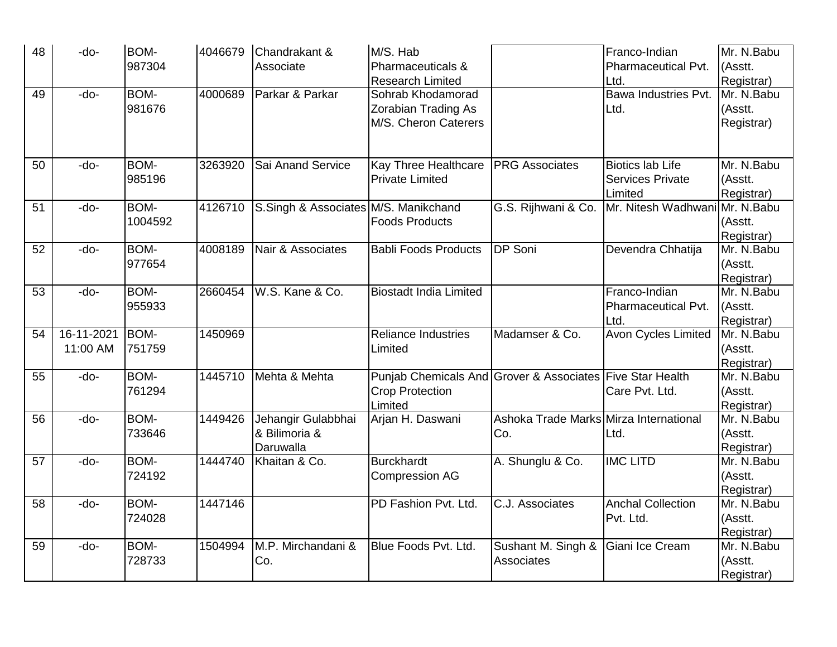| 48 | -do-       | BOM-<br>987304 | 4046679 | Chandrakant &<br>Associate           | M/S. Hab<br>Pharmaceuticals &                             |                                        | Franco-Indian<br>Pharmaceutical Pvt.               | Mr. N.Babu<br>(Asstt.    |
|----|------------|----------------|---------|--------------------------------------|-----------------------------------------------------------|----------------------------------------|----------------------------------------------------|--------------------------|
|    |            |                |         |                                      | <b>Research Limited</b>                                   |                                        | Ltd.                                               | Registrar)               |
| 49 | -do-       | BOM-           | 4000689 | Parkar & Parkar                      | Sohrab Khodamorad                                         |                                        | Bawa Industries Pvt.                               | Mr. N.Babu               |
|    |            | 981676         |         |                                      | Zorabian Trading As                                       |                                        | Ltd.                                               | (Asstt.                  |
|    |            |                |         |                                      | M/S. Cheron Caterers                                      |                                        |                                                    | Registrar)               |
|    |            |                |         |                                      |                                                           |                                        |                                                    |                          |
|    |            |                |         |                                      |                                                           |                                        |                                                    |                          |
| 50 | -do-       | BOM-           | 3263920 | Sai Anand Service                    | Kay Three Healthcare                                      | <b>PRG</b> Associates                  | <b>Biotics lab Life</b>                            | Mr. N.Babu               |
|    |            | 985196         |         |                                      | <b>Private Limited</b>                                    |                                        | <b>Services Private</b>                            | (Asstt.                  |
|    |            |                |         |                                      |                                                           |                                        | Limited                                            | Registrar)               |
| 51 | -do-       | BOM-           | 4126710 | S.Singh & Associates M/S. Manikchand |                                                           |                                        | G.S. Rijhwani & Co. Mr. Nitesh Wadhwani Mr. N.Babu |                          |
|    |            | 1004592        |         |                                      | <b>Foods Products</b>                                     |                                        |                                                    | (Asstt.                  |
|    |            |                |         |                                      |                                                           |                                        |                                                    | Registrar)               |
| 52 | -do-       | BOM-           | 4008189 | Nair & Associates                    | <b>Babli Foods Products</b>                               | DP Soni                                | Devendra Chhatija                                  | Mr. N.Babu               |
|    |            | 977654         |         |                                      |                                                           |                                        |                                                    | (Asstt.                  |
|    |            |                |         |                                      |                                                           |                                        |                                                    | Registrar)               |
| 53 | -do-       | BOM-           | 2660454 | W.S. Kane & Co.                      | <b>Biostadt India Limited</b>                             |                                        | Franco-Indian                                      | Mr. N.Babu               |
|    |            | 955933         |         |                                      |                                                           |                                        | Pharmaceutical Pvt.                                | (Asstt.                  |
|    |            |                |         |                                      |                                                           |                                        | Ltd.                                               | Registrar)               |
| 54 | 16-11-2021 | BOM-           | 1450969 |                                      | <b>Reliance Industries</b>                                | Madamser & Co.                         | <b>Avon Cycles Limited</b>                         | Mr. N.Babu               |
|    | 11:00 AM   | 751759         |         |                                      | Limited                                                   |                                        |                                                    | (Asstt.                  |
| 55 | -do-       | BOM-           | 1445710 | Mehta & Mehta                        | Punjab Chemicals And Grover & Associates Five Star Health |                                        |                                                    | Registrar)<br>Mr. N.Babu |
|    |            | 761294         |         |                                      | <b>Crop Protection</b>                                    |                                        | Care Pvt. Ltd.                                     | (Asstt.                  |
|    |            |                |         |                                      | Limited                                                   |                                        |                                                    | Registrar)               |
| 56 | -do-       | BOM-           | 1449426 | Jehangir Gulabbhai                   | Arjan H. Daswani                                          | Ashoka Trade Marks Mirza International |                                                    | Mr. N.Babu               |
|    |            | 733646         |         | & Bilimoria &                        |                                                           | Co.                                    | Ltd.                                               | (Asstt.                  |
|    |            |                |         | Daruwalla                            |                                                           |                                        |                                                    | Registrar)               |
| 57 | -do-       | BOM-           | 1444740 | Khaitan & Co.                        | <b>Burckhardt</b>                                         | A. Shunglu & Co.                       | <b>IMC LITD</b>                                    | Mr. N.Babu               |
|    |            | 724192         |         |                                      | Compression AG                                            |                                        |                                                    | (Asstt.                  |
|    |            |                |         |                                      |                                                           |                                        |                                                    | Registrar)               |
| 58 | -do-       | BOM-           | 1447146 |                                      | PD Fashion Pvt. Ltd.                                      | C.J. Associates                        | <b>Anchal Collection</b>                           | Mr. N.Babu               |
|    |            | 724028         |         |                                      |                                                           |                                        | Pvt. Ltd.                                          | (Asstt.                  |
|    |            |                |         |                                      |                                                           |                                        |                                                    | Registrar)               |
| 59 | -do-       | <b>BOM-</b>    | 1504994 | M.P. Mirchandani &                   | Blue Foods Pvt. Ltd.                                      | Sushant M. Singh & Giani Ice Cream     |                                                    | Mr. N.Babu               |
|    |            | 728733         |         | Co.                                  |                                                           | Associates                             |                                                    | (Asstt.                  |
|    |            |                |         |                                      |                                                           |                                        |                                                    | Registrar)               |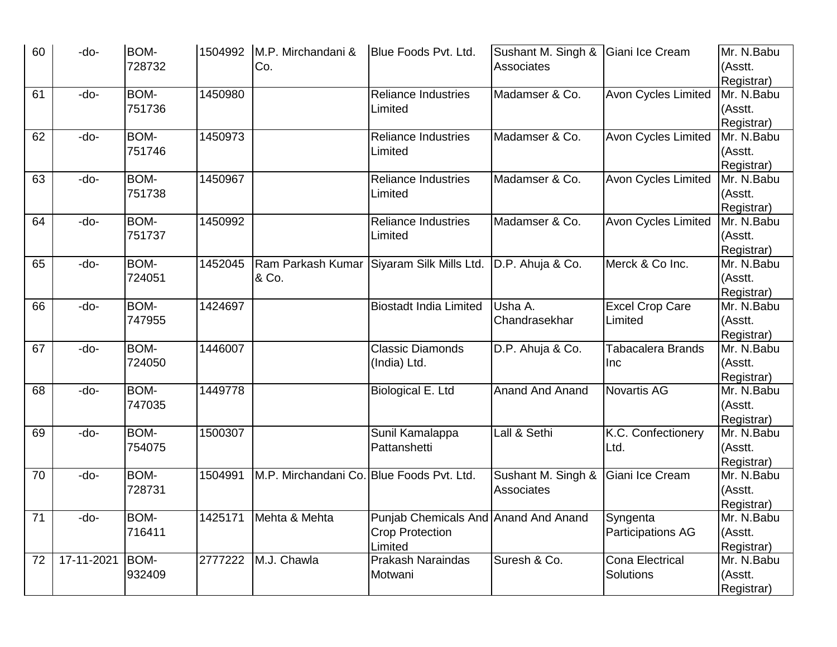| 60 | -do-       | BOM-   |         | 1504992 M.P. Mirchandani &                | Blue Foods Pvt. Ltd.                                       | Sushant M. Singh & Giani Ice Cream |                            | Mr. N.Babu               |
|----|------------|--------|---------|-------------------------------------------|------------------------------------------------------------|------------------------------------|----------------------------|--------------------------|
|    |            | 728732 |         | Co.                                       |                                                            | Associates                         |                            | (Asstt.                  |
|    |            |        |         |                                           |                                                            |                                    |                            | Registrar)               |
| 61 | -do-       | BOM-   | 1450980 |                                           | <b>Reliance Industries</b>                                 | Madamser & Co.                     | Avon Cycles Limited        | Mr. N.Babu               |
|    |            | 751736 |         |                                           | Limited                                                    |                                    |                            | (Asstt.                  |
|    |            |        |         |                                           |                                                            |                                    |                            | Registrar)               |
| 62 | -do-       | BOM-   | 1450973 |                                           | <b>Reliance Industries</b>                                 | Madamser & Co.                     | <b>Avon Cycles Limited</b> | Mr. N.Babu               |
|    |            | 751746 |         |                                           | Limited                                                    |                                    |                            | (Asstt.                  |
|    |            |        |         |                                           |                                                            |                                    |                            | Registrar)               |
| 63 | -do-       | BOM-   | 1450967 |                                           | <b>Reliance Industries</b>                                 | Madamser & Co.                     | <b>Avon Cycles Limited</b> | Mr. N.Babu               |
|    |            | 751738 |         |                                           | Limited                                                    |                                    |                            | (Asstt.                  |
|    |            |        |         |                                           |                                                            |                                    |                            | Registrar)               |
| 64 | -do-       | BOM-   | 1450992 |                                           | <b>Reliance Industries</b>                                 | Madamser & Co.                     | <b>Avon Cycles Limited</b> | Mr. N.Babu               |
|    |            | 751737 |         |                                           | Limited                                                    |                                    |                            | (Asstt.                  |
|    |            |        |         |                                           |                                                            |                                    |                            | Registrar)               |
| 65 | -do-       | BOM-   | 1452045 |                                           | Ram Parkash Kumar Siyaram Silk Mills Ltd. D.P. Ahuja & Co. |                                    | Merck & Co Inc.            | Mr. N.Babu               |
|    |            | 724051 |         | & Co.                                     |                                                            |                                    |                            | (Asstt.                  |
|    |            | BOM-   |         |                                           | <b>Biostadt India Limited</b>                              | Usha A.                            |                            | Registrar)<br>Mr. N.Babu |
| 66 | -do-       | 747955 | 1424697 |                                           |                                                            | Chandrasekhar                      | <b>Excel Crop Care</b>     |                          |
|    |            |        |         |                                           |                                                            |                                    | Limited                    | (Asstt.                  |
| 67 | -do-       | BOM-   | 1446007 |                                           | <b>Classic Diamonds</b>                                    | D.P. Ahuja & Co.                   | <b>Tabacalera Brands</b>   | Registrar)<br>Mr. N.Babu |
|    |            | 724050 |         |                                           | (India) Ltd.                                               |                                    | Inc                        | (Asstt.                  |
|    |            |        |         |                                           |                                                            |                                    |                            | Registrar)               |
| 68 | -do-       | BOM-   | 1449778 |                                           | <b>Biological E. Ltd</b>                                   | <b>Anand And Anand</b>             | Novartis AG                | Mr. N.Babu               |
|    |            | 747035 |         |                                           |                                                            |                                    |                            | (Asstt.                  |
|    |            |        |         |                                           |                                                            |                                    |                            | Registrar)               |
| 69 | -do-       | BOM-   | 1500307 |                                           | Sunil Kamalappa                                            | Lall & Sethi                       | K.C. Confectionery         | Mr. N.Babu               |
|    |            | 754075 |         |                                           | Pattanshetti                                               |                                    | Ltd.                       | (Asstt.                  |
|    |            |        |         |                                           |                                                            |                                    |                            | Registrar)               |
| 70 | -do-       | BOM-   | 1504991 | M.P. Mirchandani Co. Blue Foods Pvt. Ltd. |                                                            | Sushant M. Singh &                 | Giani Ice Cream            | Mr. N.Babu               |
|    |            | 728731 |         |                                           |                                                            | Associates                         |                            | (Asstt.                  |
|    |            |        |         |                                           |                                                            |                                    |                            | Registrar)               |
| 71 | -do-       | BOM-   | 1425171 | Mehta & Mehta                             | Punjab Chemicals And Anand And Anand                       |                                    | Syngenta                   | Mr. N.Babu               |
|    |            | 716411 |         |                                           | <b>Crop Protection</b>                                     |                                    | <b>Participations AG</b>   | (Asstt.                  |
|    |            |        |         |                                           | Limited                                                    |                                    |                            | Registrar)               |
| 72 | 17-11-2021 | BOM-   | 2777222 | M.J. Chawla                               | <b>Prakash Naraindas</b>                                   | Suresh & Co.                       | <b>Cona Electrical</b>     | Mr. N.Babu               |
|    |            | 932409 |         |                                           | Motwani                                                    |                                    | Solutions                  | (Asstt.                  |
|    |            |        |         |                                           |                                                            |                                    |                            | Registrar)               |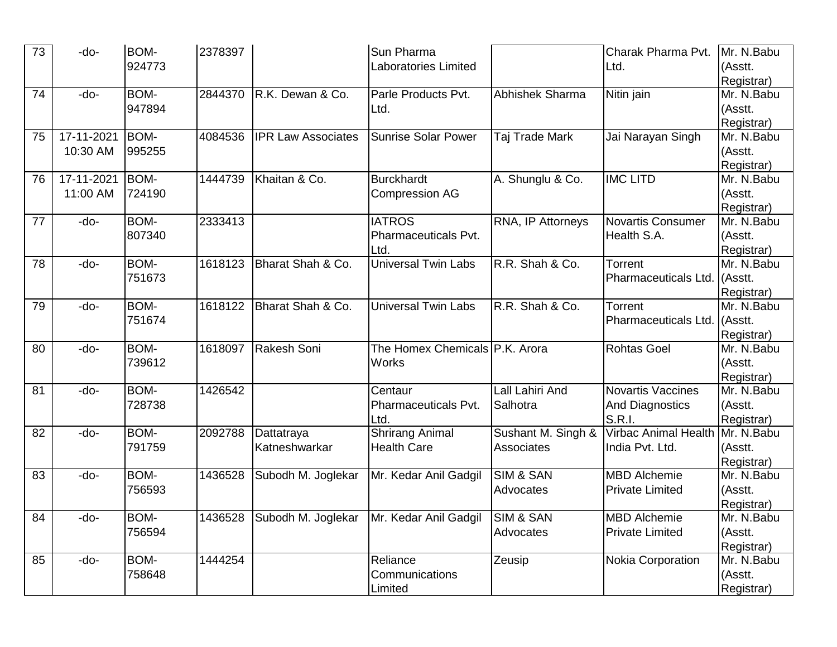| 73 | -do-       | <b>BOM-</b> | 2378397 |                           | Sun Pharma                     |                        | Charak Pharma Pvt.          | Mr. N.Babu |
|----|------------|-------------|---------|---------------------------|--------------------------------|------------------------|-----------------------------|------------|
|    |            | 924773      |         |                           | <b>Laboratories Limited</b>    |                        | Ltd.                        | (Asstt.    |
|    |            |             |         |                           |                                |                        |                             | Registrar) |
| 74 | -do-       | BOM-        | 2844370 | R.K. Dewan & Co.          | Parle Products Pvt.            | Abhishek Sharma        | Nitin jain                  | Mr. N.Babu |
|    |            | 947894      |         |                           | Ltd.                           |                        |                             | (Asstt.    |
|    |            |             |         |                           |                                |                        |                             | Registrar) |
| 75 | 17-11-2021 | BOM-        | 4084536 | <b>IPR Law Associates</b> | <b>Sunrise Solar Power</b>     | Taj Trade Mark         | Jai Narayan Singh           | Mr. N.Babu |
|    | 10:30 AM   | 995255      |         |                           |                                |                        |                             | (Asstt.    |
|    |            |             |         |                           |                                |                        |                             | Registrar) |
| 76 | 17-11-2021 | BOM-        | 1444739 | Khaitan & Co.             | <b>Burckhardt</b>              | A. Shunglu & Co.       | <b>IMC LITD</b>             | Mr. N.Babu |
|    | 11:00 AM   | 724190      |         |                           | <b>Compression AG</b>          |                        |                             | (Asstt.    |
|    |            |             |         |                           |                                |                        |                             | Registrar) |
| 77 | -do-       | BOM-        | 2333413 |                           | <b>IATROS</b>                  | RNA, IP Attorneys      | <b>Novartis Consumer</b>    | Mr. N.Babu |
|    |            | 807340      |         |                           | Pharmaceuticals Pvt.           |                        | Health S.A.                 | (Asstt.    |
|    |            |             |         |                           | Ltd.                           |                        |                             | Registrar) |
| 78 | -do-       | BOM-        | 1618123 | Bharat Shah & Co.         | <b>Universal Twin Labs</b>     | R.R. Shah & Co.        | Torrent                     | Mr. N.Babu |
|    |            | 751673      |         |                           |                                |                        | Pharmaceuticals Ltd.        | (Asstt.    |
|    |            |             |         |                           |                                |                        |                             | Registrar) |
| 79 | -do-       | BOM-        | 1618122 | Bharat Shah & Co.         | <b>Universal Twin Labs</b>     | R.R. Shah & Co.        | Torrent                     | Mr. N.Babu |
|    |            | 751674      |         |                           |                                |                        | Pharmaceuticals Ltd.        | (Asstt.    |
|    |            |             |         |                           |                                |                        |                             | Registrar) |
| 80 | -do-       | BOM-        | 1618097 | Rakesh Soni               | The Homex Chemicals P.K. Arora |                        | <b>Rohtas Goel</b>          | Mr. N.Babu |
|    |            | 739612      |         |                           | <b>Works</b>                   |                        |                             | (Asstt.    |
|    |            |             |         |                           |                                |                        |                             | Registrar) |
| 81 | -do-       | BOM-        | 1426542 |                           | Centaur                        | <b>Lall Lahiri And</b> | <b>Novartis Vaccines</b>    | Mr. N.Babu |
|    |            | 728738      |         |                           | Pharmaceuticals Pvt.           | Salhotra               | <b>And Diagnostics</b>      | (Asstt.    |
|    |            |             |         |                           | Ltd.                           |                        | <b>S.R.I.</b>               | Registrar) |
| 82 | -do-       | BOM-        | 2092788 | Dattatraya                | <b>Shrirang Animal</b>         | Sushant M. Singh &     | <b>Virbac Animal Health</b> | Mr. N.Babu |
|    |            | 791759      |         | Katneshwarkar             | <b>Health Care</b>             | Associates             | India Pvt. Ltd.             | (Asstt.    |
|    |            |             |         |                           |                                |                        |                             | Registrar) |
| 83 | -do-       | BOM-        | 1436528 | Subodh M. Joglekar        | Mr. Kedar Anil Gadgil          | <b>SIM &amp; SAN</b>   | <b>MBD</b> Alchemie         | Mr. N.Babu |
|    |            | 756593      |         |                           |                                | Advocates              | <b>Private Limited</b>      | (Asstt.    |
|    |            |             |         |                           |                                |                        |                             | Registrar) |
| 84 | -do-       | BOM-        | 1436528 | Subodh M. Joglekar        | Mr. Kedar Anil Gadgil          | <b>SIM &amp; SAN</b>   | <b>MBD</b> Alchemie         | Mr. N.Babu |
|    |            | 756594      |         |                           |                                | Advocates              | <b>Private Limited</b>      | (Asstt.    |
|    |            |             |         |                           |                                |                        |                             | Registrar) |
| 85 | -do-       | BOM-        | 1444254 |                           | Reliance                       | Zeusip                 | <b>Nokia Corporation</b>    | Mr. N.Babu |
|    |            | 758648      |         |                           | Communications                 |                        |                             | (Asstt.    |
|    |            |             |         |                           | Limited                        |                        |                             | Registrar) |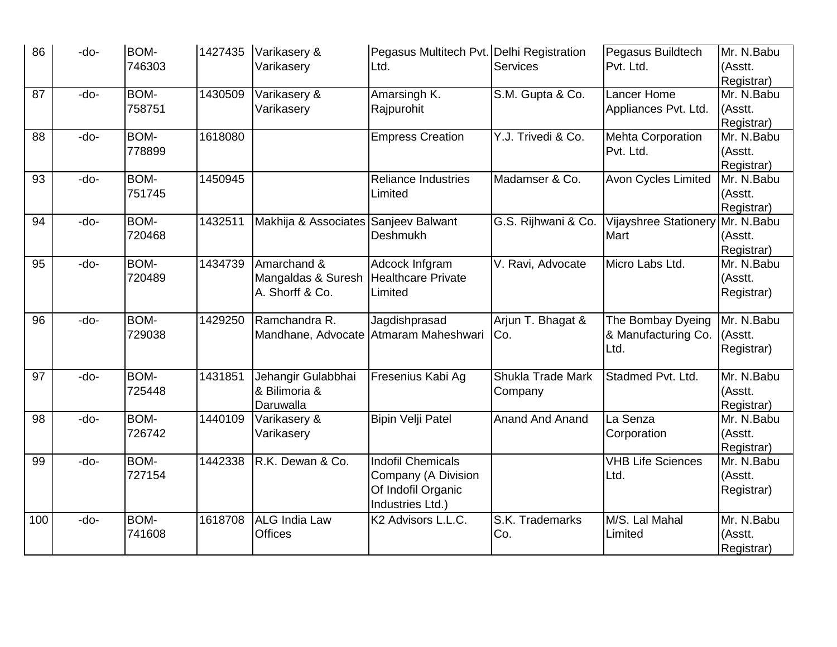| 86  | -do- | <b>BOM-</b><br>746303 | 1427435 | Varikasery &<br>Varikasery                           | Pegasus Multitech Pvt. Delhi Registration<br>Ltd.                                         | <b>Services</b>              | Pegasus Buildtech<br>Pvt. Ltd.                   | Mr. N.Babu<br>(Asstt.<br>Registrar) |
|-----|------|-----------------------|---------|------------------------------------------------------|-------------------------------------------------------------------------------------------|------------------------------|--------------------------------------------------|-------------------------------------|
| 87  | -do- | BOM-<br>758751        | 1430509 | Varikasery &<br>Varikasery                           | Amarsingh K.<br>Rajpurohit                                                                | S.M. Gupta & Co.             | Lancer Home<br>Appliances Pvt. Ltd.              | Mr. N.Babu<br>(Asstt.<br>Registrar) |
| 88  | -do- | BOM-<br>778899        | 1618080 |                                                      | <b>Empress Creation</b>                                                                   | Y.J. Trivedi & Co.           | <b>Mehta Corporation</b><br>Pvt. Ltd.            | Mr. N.Babu<br>(Asstt.<br>Registrar) |
| 93  | -do- | BOM-<br>751745        | 1450945 |                                                      | <b>Reliance Industries</b><br>Limited                                                     | Madamser & Co.               | <b>Avon Cycles Limited</b>                       | Mr. N.Babu<br>(Asstt.<br>Registrar) |
| 94  | -do- | BOM-<br>720468        | 1432511 | Makhija & Associates Sanjeev Balwant                 | <b>Deshmukh</b>                                                                           | G.S. Rijhwani & Co.          | Vijayshree Stationery<br>Mart                    | Mr. N.Babu<br>(Asstt.<br>Registrar) |
| 95  | -do- | BOM-<br>720489        | 1434739 | Amarchand &<br>Mangaldas & Suresh<br>A. Shorff & Co. | Adcock Infgram<br>Healthcare Private<br>Limited                                           | V. Ravi, Advocate            | Micro Labs Ltd.                                  | Mr. N.Babu<br>(Asstt.<br>Registrar) |
| 96  | -do- | BOM-<br>729038        | 1429250 | Ramchandra R.                                        | Jagdishprasad<br>Mandhane, Advocate Atmaram Maheshwari                                    | Arjun T. Bhagat &<br>Co.     | The Bombay Dyeing<br>& Manufacturing Co.<br>Ltd. | Mr. N.Babu<br>(Asstt.<br>Registrar) |
| 97  | -do- | BOM-<br>725448        | 1431851 | Jehangir Gulabbhai<br>& Bilimoria &<br>Daruwalla     | Fresenius Kabi Ag                                                                         | Shukla Trade Mark<br>Company | Stadmed Pvt. Ltd.                                | Mr. N.Babu<br>(Asstt.<br>Registrar) |
| 98  | -do- | BOM-<br>726742        | 1440109 | Varikasery &<br>Varikasery                           | Bipin Velji Patel                                                                         | <b>Anand And Anand</b>       | La Senza<br>Corporation                          | Mr. N.Babu<br>(Asstt.<br>Registrar) |
| 99  | -do- | BOM-<br>727154        | 1442338 | R.K. Dewan & Co.                                     | <b>Indofil Chemicals</b><br>Company (A Division<br>Of Indofil Organic<br>Industries Ltd.) |                              | <b>VHB Life Sciences</b><br>Ltd.                 | Mr. N.Babu<br>(Asstt.<br>Registrar) |
| 100 | -do- | <b>BOM-</b><br>741608 | 1618708 | <b>ALG</b> India Law<br><b>Offices</b>               | K2 Advisors L.L.C.                                                                        | S.K. Trademarks<br>Co.       | M/S. Lal Mahal<br>Limited                        | Mr. N.Babu<br>(Asstt.<br>Registrar) |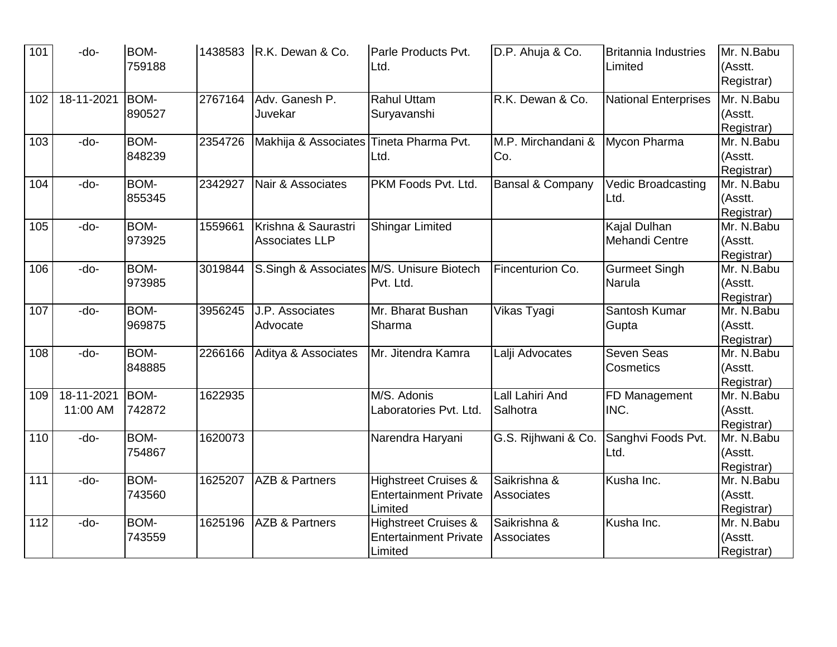| 101              | -do-                   | <b>BOM-</b><br>759188 |         | 1438583 R.K. Dewan & Co.                     | Parle Products Pvt.<br>Ltd.                                                | D.P. Ahuja & Co.                  | <b>Britannia Industries</b><br>Limited | Mr. N.Babu<br>(Asstt.<br>Registrar)    |
|------------------|------------------------|-----------------------|---------|----------------------------------------------|----------------------------------------------------------------------------|-----------------------------------|----------------------------------------|----------------------------------------|
| 102              | 18-11-2021             | BOM-<br>890527        | 2767164 | Adv. Ganesh P.<br>Juvekar                    | <b>Rahul Uttam</b><br>Suryavanshi                                          | R.K. Dewan & Co.                  | <b>National Enterprises</b>            | $Mr. N.$ Babu<br>(Asstt.<br>Registrar) |
| 103              | -do-                   | BOM-<br>848239        | 2354726 | Makhija & Associates Tineta Pharma Pvt.      | Ltd.                                                                       | M.P. Mirchandani &<br>Co.         | Mycon Pharma                           | Mr. N.Babu<br>(Asstt.<br>Registrar)    |
| 104              | -do-                   | BOM-<br>855345        | 2342927 | Nair & Associates                            | PKM Foods Pvt. Ltd.                                                        | Bansal & Company                  | Vedic Broadcasting<br>Ltd.             | Mr. N.Babu<br>(Asstt.<br>Registrar)    |
| 105              | -do-                   | BOM-<br>973925        | 1559661 | Krishna & Saurastri<br><b>Associates LLP</b> | Shingar Limited                                                            |                                   | Kajal Dulhan<br>Mehandi Centre         | Mr. N.Babu<br>(Asstt.<br>Registrar)    |
| 106              | -do-                   | BOM-<br>973985        | 3019844 | S.Singh & Associates M/S. Unisure Biotech    | Pvt. Ltd.                                                                  | Fincenturion Co.                  | <b>Gurmeet Singh</b><br>Narula         | Mr. N.Babu<br>(Asstt.<br>Registrar)    |
| 107              | -do-                   | BOM-<br>969875        | 3956245 | J.P. Associates<br>Advocate                  | Mr. Bharat Bushan<br>Sharma                                                | <b>Vikas Tyagi</b>                | Santosh Kumar<br>Gupta                 | Mr. N.Babu<br>(Asstt.<br>Registrar)    |
| 108              | -do-                   | BOM-<br>848885        | 2266166 | Aditya & Associates                          | Mr. Jitendra Kamra                                                         | Lalji Advocates                   | Seven Seas<br>Cosmetics                | Mr. N.Babu<br>(Asstt.<br>Registrar)    |
| 109              | 18-11-2021<br>11:00 AM | BOM-<br>742872        | 1622935 |                                              | M/S. Adonis<br>Laboratories Pvt. Ltd.                                      | Lall Lahiri And<br>Salhotra       | FD Management<br>INC.                  | Mr. N.Babu<br>(Asstt.<br>Registrar)    |
| 110              | -do-                   | BOM-<br>754867        | 1620073 |                                              | Narendra Haryani                                                           | G.S. Rijhwani & Co.               | Sanghvi Foods Pvt.<br>Ltd.             | Mr. N.Babu<br>(Asstt.<br>Registrar)    |
| 111              | -do-                   | BOM-<br>743560        | 1625207 | <b>AZB &amp; Partners</b>                    | <b>Highstreet Cruises &amp;</b><br><b>Entertainment Private</b><br>Limited | Saikrishna &<br><b>Associates</b> | Kusha Inc.                             | Mr. N.Babu<br>(Asstt.<br>Registrar)    |
| $\overline{112}$ | $-do-$                 | BOM-<br>743559        | 1625196 | <b>AZB &amp; Partners</b>                    | <b>Highstreet Cruises &amp;</b><br><b>Entertainment Private</b><br>Limited | Saikrishna &<br>Associates        | Kusha Inc.                             | Mr. N.Babu<br>(Asstt.<br>Registrar)    |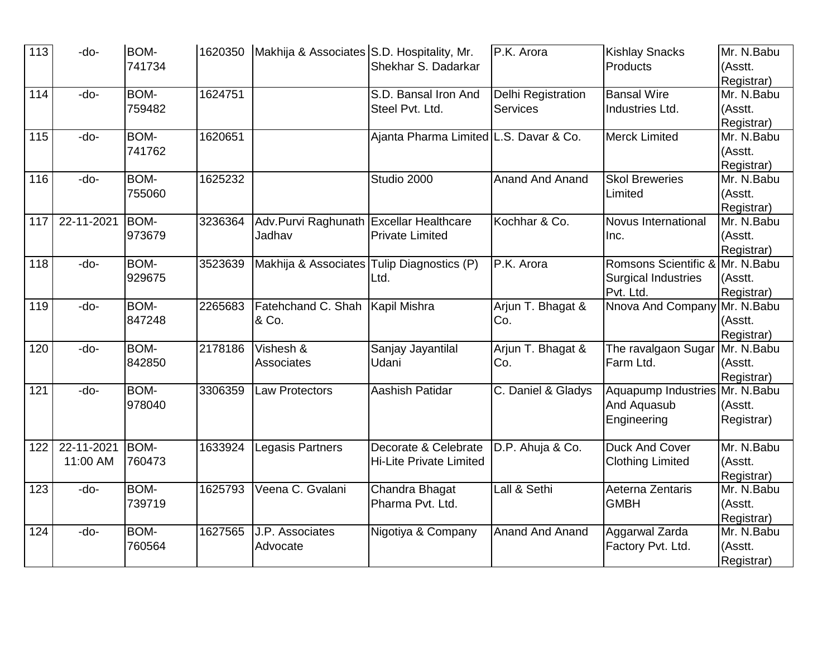| 113 | -do-       | <b>BOM-</b> |         | 1620350 Makhija & Associates S.D. Hospitality, Mr. |                                        | P.K. Arora             | <b>Kishlay Snacks</b>           | Mr. N.Babu |
|-----|------------|-------------|---------|----------------------------------------------------|----------------------------------------|------------------------|---------------------------------|------------|
|     |            | 741734      |         |                                                    | Shekhar S. Dadarkar                    |                        | Products                        | (Asstt.    |
|     |            |             |         |                                                    |                                        |                        |                                 | Registrar) |
| 114 | -do-       | BOM-        | 1624751 |                                                    | S.D. Bansal Iron And                   | Delhi Registration     | <b>Bansal Wire</b>              | Mr. N.Babu |
|     |            | 759482      |         |                                                    | Steel Pvt. Ltd.                        | <b>Services</b>        | Industries Ltd.                 | (Asstt.    |
|     |            |             |         |                                                    |                                        |                        |                                 | Registrar) |
| 115 | -do-       | BOM-        | 1620651 |                                                    | Ajanta Pharma Limited L.S. Davar & Co. |                        | <b>Merck Limited</b>            | Mr. N.Babu |
|     |            | 741762      |         |                                                    |                                        |                        |                                 | (Asstt.    |
|     |            |             |         |                                                    |                                        |                        |                                 | Registrar) |
| 116 | -do-       | BOM-        | 1625232 |                                                    | Studio 2000                            | Anand And Anand        | <b>Skol Breweries</b>           | Mr. N.Babu |
|     |            | 755060      |         |                                                    |                                        |                        | Limited                         | (Asstt.    |
|     |            |             |         |                                                    |                                        |                        |                                 | Registrar) |
| 117 | 22-11-2021 | BOM-        | 3236364 | Adv. Purvi Raghunath Excellar Healthcare           |                                        | Kochhar & Co.          | Novus International             | Mr. N.Babu |
|     |            | 973679      |         | Jadhav                                             | <b>Private Limited</b>                 |                        | Inc.                            | (Asstt.    |
|     |            |             |         |                                                    |                                        |                        |                                 | Registrar) |
| 118 | -do-       | BOM-        | 3523639 | Makhija & Associates Tulip Diagnostics (P)         |                                        | P.K. Arora             | Romsons Scientific &            | Mr. N.Babu |
|     |            | 929675      |         |                                                    | Ltd.                                   |                        | <b>Surgical Industries</b>      | (Asstt.    |
|     |            |             |         |                                                    |                                        |                        | Pvt. Ltd.                       | Registrar) |
| 119 | -do-       | <b>BOM-</b> | 2265683 | Fatehchand C. Shah   Kapil Mishra                  |                                        | Arjun T. Bhagat &      | Nnova And Company               | Mr. N.Babu |
|     |            | 847248      |         | & Co.                                              |                                        | Co.                    |                                 | (Asstt.    |
|     |            |             |         |                                                    |                                        |                        |                                 | Registrar) |
| 120 | -do-       | BOM-        | 2178186 | Vishesh &                                          | Sanjay Jayantilal                      | Arjun T. Bhagat &      | The ravalgaon Sugar             | Mr. N.Babu |
|     |            | 842850      |         | Associates                                         | Udani                                  | Co.                    | Farm Ltd.                       | (Asstt.    |
|     |            |             |         |                                                    |                                        |                        |                                 | Registrar) |
| 121 | -do-       | BOM-        | 3306359 | Law Protectors                                     | Aashish Patidar                        | C. Daniel & Gladys     | Aquapump Industries Mr. N. Babu |            |
|     |            | 978040      |         |                                                    |                                        |                        | And Aquasub                     | (Asstt.    |
|     |            |             |         |                                                    |                                        |                        | Engineering                     | Registrar) |
|     |            |             |         |                                                    |                                        |                        |                                 |            |
| 122 | 22-11-2021 | BOM-        | 1633924 | Legasis Partners                                   | Decorate & Celebrate                   | D.P. Ahuja & Co.       | <b>Duck And Cover</b>           | Mr. N.Babu |
|     | 11:00 AM   | 760473      |         |                                                    | <b>Hi-Lite Private Limited</b>         |                        | <b>Clothing Limited</b>         | (Asstt.    |
|     |            |             |         |                                                    |                                        |                        |                                 | Registrar) |
| 123 | -do-       | BOM-        | 1625793 | Veena C. Gvalani                                   | Chandra Bhagat                         | Lall & Sethi           | Aeterna Zentaris                | Mr. N.Babu |
|     |            | 739719      |         |                                                    | Pharma Pvt. Ltd.                       |                        | <b>GMBH</b>                     | (Asstt.    |
|     |            |             |         |                                                    |                                        |                        |                                 | Registrar) |
| 124 | -do-       | BOM-        | 1627565 | J.P. Associates                                    | Nigotiya & Company                     | <b>Anand And Anand</b> | Aggarwal Zarda                  | Mr. N.Babu |
|     |            | 760564      |         | Advocate                                           |                                        |                        | Factory Pvt. Ltd.               | (Asstt.    |
|     |            |             |         |                                                    |                                        |                        |                                 | Registrar) |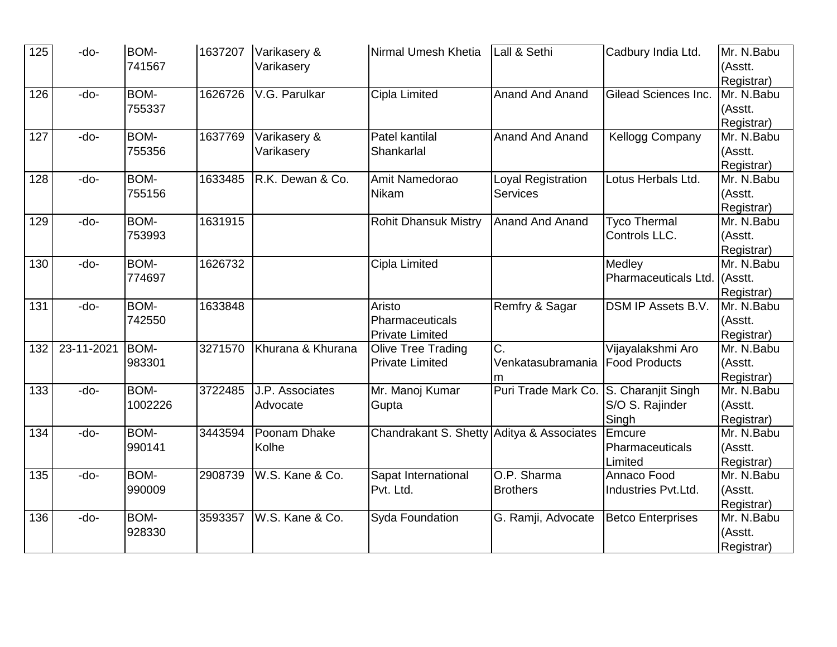| 125              | -do-       | <b>BOM-</b> | 1637207 | Varikasery &      | Nirmal Umesh Khetia                       | Lall & Sethi           | Cadbury India Ltd.        | Mr. N.Babu |
|------------------|------------|-------------|---------|-------------------|-------------------------------------------|------------------------|---------------------------|------------|
|                  |            | 741567      |         | Varikasery        |                                           |                        |                           | (Asstt.    |
|                  |            |             |         |                   |                                           |                        |                           | Registrar) |
| 126              | -do-       | BOM-        | 1626726 | V.G. Parulkar     | Cipla Limited                             | <b>Anand And Anand</b> | Gilead Sciences Inc.      | Mr. N.Babu |
|                  |            | 755337      |         |                   |                                           |                        |                           | (Asstt.    |
|                  |            |             |         |                   |                                           |                        |                           | Registrar) |
| 127              | -do-       | BOM-        | 1637769 | Varikasery &      | Patel kantilal                            | <b>Anand And Anand</b> | <b>Kellogg Company</b>    | Mr. N.Babu |
|                  |            | 755356      |         | Varikasery        | Shankarlal                                |                        |                           | (Asstt.    |
|                  |            |             |         |                   |                                           |                        |                           | Registrar) |
| 128              | -do-       | BOM-        | 1633485 | R.K. Dewan & Co.  | Amit Namedorao                            | Loyal Registration     | Lotus Herbals Ltd.        | Mr. N.Babu |
|                  |            | 755156      |         |                   | Nikam                                     | <b>Services</b>        |                           | (Asstt.    |
|                  |            |             |         |                   |                                           |                        |                           | Registrar) |
| 129              | -do-       | BOM-        | 1631915 |                   | <b>Rohit Dhansuk Mistry</b>               | <b>Anand And Anand</b> | <b>Tyco Thermal</b>       | Mr. N.Babu |
|                  |            | 753993      |         |                   |                                           |                        | Controls LLC.             | (Asstt.    |
|                  |            |             |         |                   |                                           |                        |                           | Registrar) |
| 130              | -do-       | BOM-        | 1626732 |                   | Cipla Limited                             |                        | Medley                    | Mr. N.Babu |
|                  |            | 774697      |         |                   |                                           |                        | Pharmaceuticals Ltd.      | (Asstt.    |
|                  |            |             |         |                   |                                           |                        |                           | Registrar) |
| 131              | -do-       | BOM-        | 1633848 |                   | Aristo                                    | Remfry & Sagar         | <b>DSM IP Assets B.V.</b> | Mr. N.Babu |
|                  |            | 742550      |         |                   | Pharmaceuticals                           |                        |                           | (Asstt.    |
|                  |            |             |         |                   | <b>Private Limited</b>                    |                        |                           | Registrar) |
| 132              | 23-11-2021 | BOM-        | 3271570 | Khurana & Khurana | <b>Olive Tree Trading</b>                 | $\overline{C}$ .       | Vijayalakshmi Aro         | Mr. N.Babu |
|                  |            | 983301      |         |                   | <b>Private Limited</b>                    | Venkatasubramania      | <b>Food Products</b>      | (Asstt.    |
|                  |            |             |         |                   |                                           |                        |                           | Registrar) |
| 133              | -do-       | BOM-        | 3722485 | J.P. Associates   | Mr. Manoj Kumar                           | Puri Trade Mark Co.    | S. Charanjit Singh        | Mr. N.Babu |
|                  |            | 1002226     |         | Advocate          | Gupta                                     |                        | S/O S. Rajinder           | (Asstt.    |
|                  |            |             |         |                   |                                           |                        | Singh                     | Registrar) |
| 134              | -do-       | BOM-        | 3443594 | Poonam Dhake      | Chandrakant S. Shetty Aditya & Associates |                        | Emcure                    | Mr. N.Babu |
|                  |            | 990141      |         | Kolhe             |                                           |                        | Pharmaceuticals           | (Asstt.    |
|                  |            |             |         |                   |                                           |                        | Limited                   | Registrar) |
| $\overline{135}$ | -do-       | BOM-        | 2908739 | W.S. Kane & Co.   | Sapat International                       | O.P. Sharma            | Annaco Food               | Mr. N.Babu |
|                  |            | 990009      |         |                   | Pvt. Ltd.                                 | <b>Brothers</b>        | Industries Pvt.Ltd.       | (Asstt.    |
|                  |            |             |         |                   |                                           |                        |                           | Registrar) |
| 136              | -do-       | BOM-        | 3593357 | W.S. Kane & Co.   | <b>Syda Foundation</b>                    | G. Ramji, Advocate     | <b>Betco Enterprises</b>  | Mr. N.Babu |
|                  |            | 928330      |         |                   |                                           |                        |                           | (Asstt.    |
|                  |            |             |         |                   |                                           |                        |                           | Registrar) |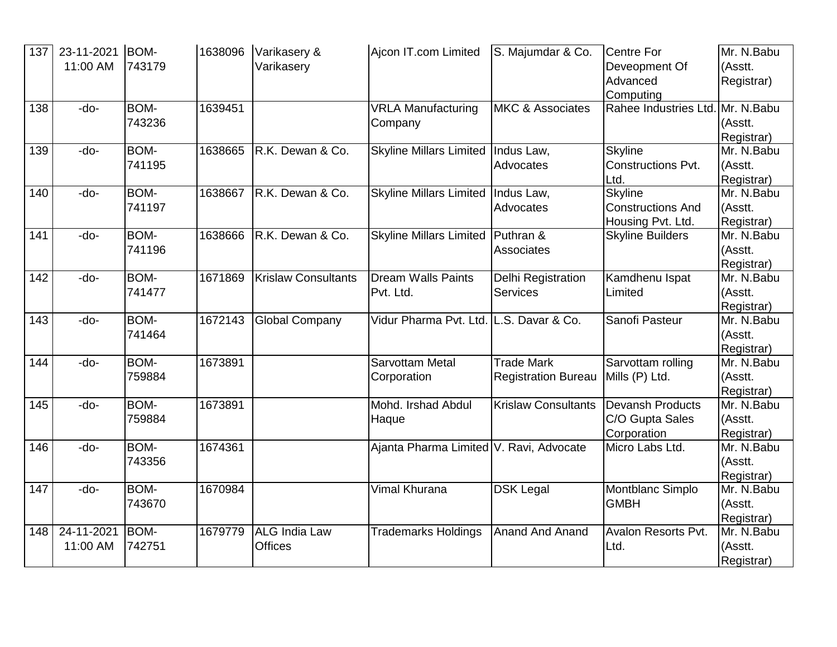| 137 | 23-11-2021 | BOM-        | 1638096 | Varikasery &               | Ajcon IT.com Limited                    | S. Majumdar & Co.           | <b>Centre For</b>         | Mr. N.Babu |
|-----|------------|-------------|---------|----------------------------|-----------------------------------------|-----------------------------|---------------------------|------------|
|     | 11:00 AM   | 743179      |         | Varikasery                 |                                         |                             | Deveopment Of             | (Asstt.    |
|     |            |             |         |                            |                                         |                             | Advanced                  | Registrar) |
|     |            |             |         |                            |                                         |                             | Computing                 |            |
| 138 | -do-       | BOM-        | 1639451 |                            | <b>VRLA Manufacturing</b>               | <b>MKC &amp; Associates</b> | Rahee Industries Ltd.     | Mr. N.Babu |
|     |            | 743236      |         |                            | Company                                 |                             |                           | (Asstt.    |
|     |            |             |         |                            |                                         |                             |                           | Registrar) |
| 139 | -do-       | BOM-        | 1638665 | R.K. Dewan & Co.           | <b>Skyline Millars Limited</b>          | Indus Law,                  | <b>Skyline</b>            | Mr. N.Babu |
|     |            | 741195      |         |                            |                                         | Advocates                   | <b>Constructions Pvt.</b> | (Asstt.    |
|     |            |             |         |                            |                                         |                             | Ltd.                      | Registrar) |
| 140 | -do-       | BOM-        | 1638667 | R.K. Dewan & Co.           | <b>Skyline Millars Limited</b>          | Indus Law,                  | <b>Skyline</b>            | Mr. N.Babu |
|     |            | 741197      |         |                            |                                         | Advocates                   | <b>Constructions And</b>  | (Asstt.    |
|     |            |             |         |                            |                                         |                             | Housing Pvt. Ltd.         | Registrar) |
| 141 | -do-       | <b>BOM-</b> | 1638666 | R.K. Dewan & Co.           | <b>Skyline Millars Limited</b>          | Puthran &                   | <b>Skyline Builders</b>   | Mr. N.Babu |
|     |            | 741196      |         |                            |                                         | Associates                  |                           | (Asstt.    |
|     |            |             |         |                            |                                         |                             |                           | Registrar) |
| 142 | -do-       | <b>BOM-</b> | 1671869 | <b>Krislaw Consultants</b> | <b>Dream Walls Paints</b>               | Delhi Registration          | Kamdhenu Ispat            | Mr. N.Babu |
|     |            | 741477      |         |                            | Pvt. Ltd.                               | <b>Services</b>             | Limited                   | (Asstt.    |
|     |            |             |         |                            |                                         |                             |                           | Registrar) |
| 143 | -do-       | BOM-        | 1672143 | <b>Global Company</b>      | Vidur Pharma Pvt. Ltd. L.S. Davar & Co. |                             | Sanofi Pasteur            | Mr. N.Babu |
|     |            | 741464      |         |                            |                                         |                             |                           | (Asstt.    |
|     |            |             |         |                            |                                         |                             |                           | Registrar) |
| 144 | -do-       | BOM-        | 1673891 |                            | Sarvottam Metal                         | <b>Trade Mark</b>           | Sarvottam rolling         | Mr. N.Babu |
|     |            | 759884      |         |                            | Corporation                             | <b>Registration Bureau</b>  | Mills (P) Ltd.            | (Asstt.    |
|     |            |             |         |                            |                                         |                             |                           | Registrar) |
| 145 | -do-       | <b>BOM-</b> | 1673891 |                            | Mohd. Irshad Abdul                      | <b>Krislaw Consultants</b>  | <b>Devansh Products</b>   | Mr. N.Babu |
|     |            | 759884      |         |                            | Haque                                   |                             | C/O Gupta Sales           | (Asstt.    |
|     |            |             |         |                            |                                         |                             | Corporation               | Registrar) |
| 146 | -do-       | <b>BOM-</b> | 1674361 |                            | Ajanta Pharma Limited V. Ravi, Advocate |                             | Micro Labs Ltd.           | Mr. N.Babu |
|     |            | 743356      |         |                            |                                         |                             |                           | (Asstt.    |
|     |            |             |         |                            |                                         |                             |                           | Registrar) |
| 147 | -do-       | <b>BOM-</b> | 1670984 |                            | Vimal Khurana                           | <b>DSK Legal</b>            | Montblanc Simplo          | Mr. N.Babu |
|     |            | 743670      |         |                            |                                         |                             | <b>GMBH</b>               | (Asstt.    |
|     |            |             |         |                            |                                         |                             |                           | Registrar) |
| 148 | 24-11-2021 | BOM-        | 1679779 | <b>ALG India Law</b>       | <b>Trademarks Holdings</b>              | <b>Anand And Anand</b>      | Avalon Resorts Pvt.       | Mr. N.Babu |
|     | 11:00 AM   | 742751      |         | <b>Offices</b>             |                                         |                             | Ltd.                      | (Asstt.    |
|     |            |             |         |                            |                                         |                             |                           | Registrar) |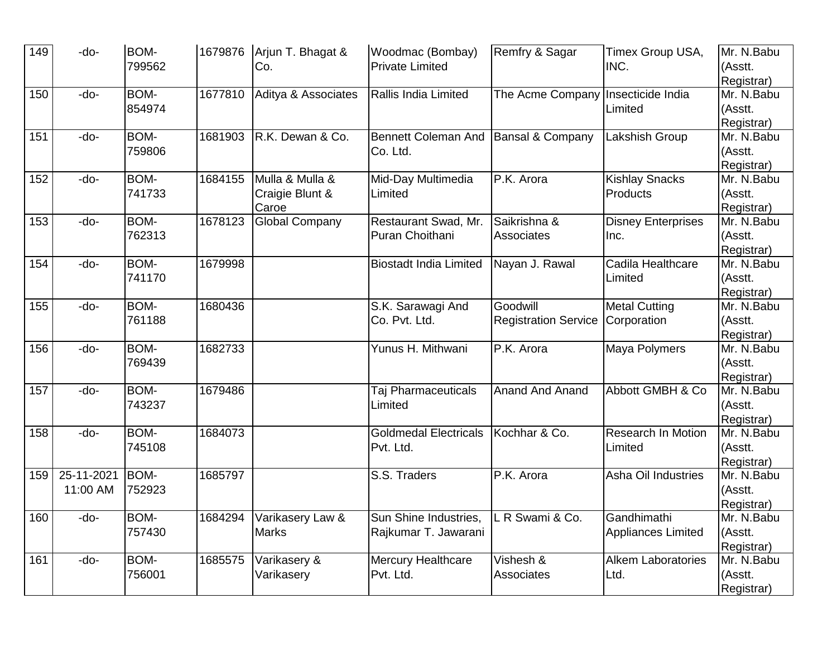| 149 | -do-       | BOM-<br>799562 |         | 1679876 Arjun T. Bhagat &<br>Co. | Woodmac (Bombay)<br><b>Private Limited</b> | Remfry & Sagar              | Timex Group USA,<br>INC.  | Mr. N.Babu<br>(Asstt.    |
|-----|------------|----------------|---------|----------------------------------|--------------------------------------------|-----------------------------|---------------------------|--------------------------|
|     |            |                |         |                                  |                                            |                             |                           | Registrar)               |
| 150 | -do-       | BOM-           | 1677810 | Aditya & Associates              | Rallis India Limited                       | The Acme Company            | Insecticide India         | Mr. N.Babu               |
|     |            | 854974         |         |                                  |                                            |                             | Limited                   | (Asstt.                  |
|     |            |                |         |                                  |                                            |                             |                           | Registrar)               |
| 151 | -do-       | BOM-           | 1681903 | R.K. Dewan & Co.                 | <b>Bennett Coleman And</b>                 | <b>Bansal &amp; Company</b> | Lakshish Group            | Mr. N.Babu               |
|     |            | 759806         |         |                                  | Co. Ltd.                                   |                             |                           | (Asstt.                  |
|     |            |                |         |                                  |                                            |                             |                           | Registrar)               |
| 152 | -do-       | BOM-           | 1684155 | Mulla & Mulla &                  | Mid-Day Multimedia                         | P.K. Arora                  | <b>Kishlay Snacks</b>     | Mr. N.Babu               |
|     |            | 741733         |         | Craigie Blunt &                  | Limited                                    |                             | Products                  | (Asstt.                  |
|     |            |                |         | Caroe                            |                                            |                             |                           | Registrar)               |
| 153 | -do-       | BOM-           | 1678123 | <b>Global Company</b>            | Restaurant Swad, Mr.                       | Saikrishna &                | <b>Disney Enterprises</b> | Mr. N.Babu               |
|     |            | 762313         |         |                                  | Puran Choithani                            | Associates                  | Inc.                      | (Asstt.                  |
|     |            |                |         |                                  |                                            |                             |                           | Registrar)               |
| 154 | -do-       | BOM-           | 1679998 |                                  | <b>Biostadt India Limited</b>              | Nayan J. Rawal              | Cadila Healthcare         | Mr. N.Babu               |
|     |            | 741170         |         |                                  |                                            |                             | Limited                   | (Asstt.                  |
| 155 | -do-       | BOM-           | 1680436 |                                  |                                            | Goodwill                    | <b>Metal Cutting</b>      | Registrar)<br>Mr. N.Babu |
|     |            | 761188         |         |                                  | S.K. Sarawagi And<br>Co. Pvt. Ltd.         |                             |                           |                          |
|     |            |                |         |                                  |                                            | <b>Registration Service</b> | Corporation               | (Asstt.<br>Registrar)    |
| 156 | -do-       | <b>BOM-</b>    | 1682733 |                                  | Yunus H. Mithwani                          | P.K. Arora                  | Maya Polymers             | Mr. N.Babu               |
|     |            | 769439         |         |                                  |                                            |                             |                           | (Asstt.                  |
|     |            |                |         |                                  |                                            |                             |                           | Registrar)               |
| 157 | -do-       | <b>BOM-</b>    | 1679486 |                                  | Taj Pharmaceuticals                        | Anand And Anand             | Abbott GMBH & Co          | Mr. N.Babu               |
|     |            | 743237         |         |                                  | Limited                                    |                             |                           | (Asstt.                  |
|     |            |                |         |                                  |                                            |                             |                           | Registrar)               |
| 158 | -do-       | BOM-           | 1684073 |                                  | <b>Goldmedal Electricals</b>               | Kochhar & Co.               | <b>Research In Motion</b> | Mr. N.Babu               |
|     |            | 745108         |         |                                  | Pvt. Ltd.                                  |                             | Limited                   | (Asstt.                  |
|     |            |                |         |                                  |                                            |                             |                           | Registrar)               |
| 159 | 25-11-2021 | BOM-           | 1685797 |                                  | S.S. Traders                               | P.K. Arora                  | Asha Oil Industries       | Mr. N.Babu               |
|     | 11:00 AM   | 752923         |         |                                  |                                            |                             |                           | (Asstt.                  |
|     |            |                |         |                                  |                                            |                             |                           | Registrar)               |
| 160 | -do-       | BOM-           | 1684294 | Varikasery Law &                 | Sun Shine Industries,                      | L R Swami & Co.             | Gandhimathi               | Mr. N.Babu               |
|     |            | 757430         |         | <b>Marks</b>                     | Rajkumar T. Jawarani                       |                             | Appliances Limited        | (Asstt.                  |
|     |            |                |         |                                  |                                            |                             |                           | Registrar)               |
| 161 | -do-       | BOM-           | 1685575 | Varikasery &                     | Mercury Healthcare                         | Vishesh &                   | <b>Alkem Laboratories</b> | Mr. N.Babu               |
|     |            | 756001         |         | Varikasery                       | Pvt. Ltd.                                  | Associates                  | Ltd.                      | (Asstt.                  |
|     |            |                |         |                                  |                                            |                             |                           | Registrar)               |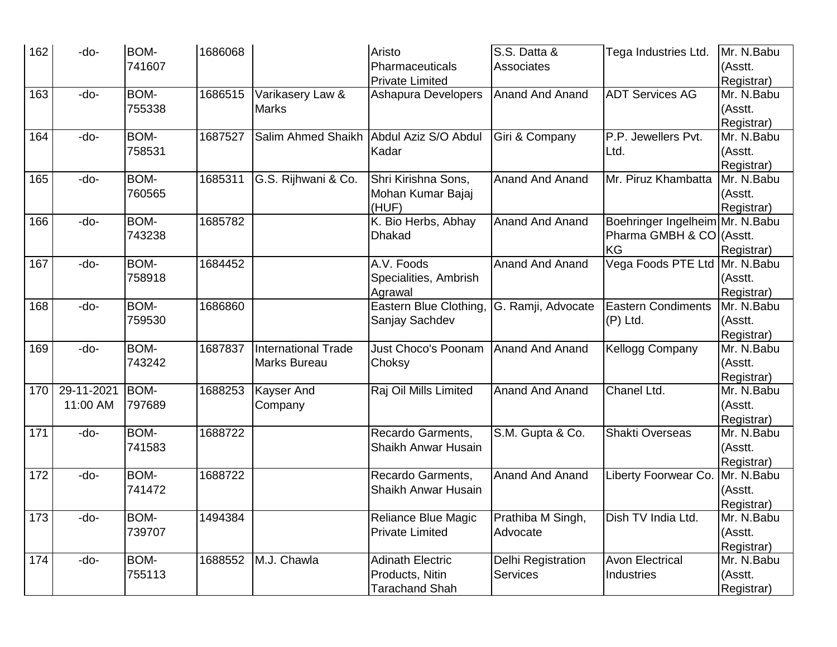| 162 | -do-       | <b>BOM-</b> | 1686068 |                            | Aristo                                        | S.S. Datta &                  | Tega Industries Ltd.            | Mr. N.Babu               |
|-----|------------|-------------|---------|----------------------------|-----------------------------------------------|-------------------------------|---------------------------------|--------------------------|
|     |            | 741607      |         |                            | Pharmaceuticals                               | Associates                    |                                 | (Asstt.                  |
|     |            |             |         |                            | <b>Private Limited</b>                        |                               |                                 | Registrar)               |
| 163 | -do-       | BOM-        | 1686515 | Varikasery Law &           | Ashapura Developers                           | <b>Anand And Anand</b>        | <b>ADT Services AG</b>          | Mr. N.Babu               |
|     |            | 755338      |         | <b>Marks</b>               |                                               |                               |                                 | (Asstt.                  |
|     |            |             |         |                            |                                               |                               |                                 | Registrar)               |
| 164 | -do-       | BOM-        | 1687527 | Salim Ahmed Shaikh         | Abdul Aziz S/O Abdul                          | Giri & Company                | P.P. Jewellers Pvt.             | Mr. N.Babu               |
|     |            | 758531      |         |                            | Kadar                                         |                               | Ltd.                            | (Asstt.                  |
|     |            |             |         |                            |                                               |                               |                                 | Registrar)               |
| 165 | -do-       | BOM-        | 1685311 | G.S. Rijhwani & Co.        | Shri Kirishna Sons,                           | <b>Anand And Anand</b>        | Mr. Piruz Khambatta             | Mr. N.Babu               |
|     |            | 760565      |         |                            | Mohan Kumar Bajaj                             |                               |                                 | (Asstt.                  |
|     |            |             |         |                            | (HUF)                                         |                               |                                 | Registrar)               |
| 166 | -do-       | BOM-        | 1685782 |                            | K. Bio Herbs, Abhay                           | <b>Anand And Anand</b>        | Boehringer Ingelheim Mr. N.Babu |                          |
|     |            | 743238      |         |                            | <b>Dhakad</b>                                 |                               | Pharma GMBH & CO (Asstt.        |                          |
|     |            |             |         |                            |                                               |                               | KG                              | Registrar)               |
| 167 | -do-       | BOM-        | 1684452 |                            | A.V. Foods                                    | <b>Anand And Anand</b>        | Vega Foods PTE Ltd Mr. N.Babu   |                          |
|     |            | 758918      |         |                            | Specialities, Ambrish                         |                               |                                 | (Asstt.                  |
|     |            |             |         |                            | Agrawal                                       |                               |                                 | Registrar)               |
| 168 | -do-       | BOM-        | 1686860 |                            | Eastern Blue Clothing,                        | G. Ramji, Advocate            | <b>Eastern Condiments</b>       | Mr. N.Babu               |
|     |            | 759530      |         |                            | Sanjay Sachdev                                |                               | (P) Ltd.                        | (Asstt.                  |
|     |            |             |         |                            |                                               |                               |                                 | Registrar)               |
| 169 | -do-       | BOM-        | 1687837 | <b>International Trade</b> | Just Choco's Poonam                           | <b>Anand And Anand</b>        | Kellogg Company                 | Mr. N.Babu               |
|     |            | 743242      |         | Marks Bureau               | Choksy                                        |                               |                                 | (Asstt.                  |
|     |            |             |         |                            |                                               |                               |                                 | Registrar)               |
| 170 | 29-11-2021 | BOM-        | 1688253 | Kayser And                 | Raj Oil Mills Limited                         | Anand And Anand               | Chanel Ltd.                     | Mr. N.Babu               |
|     | 11:00 AM   | 797689      |         | Company                    |                                               |                               |                                 | (Asstt.                  |
|     |            |             |         |                            |                                               |                               |                                 | Registrar)               |
| 171 | -do-       | BOM-        | 1688722 |                            | Recardo Garments,                             | S.M. Gupta & Co.              | Shakti Overseas                 | Mr. N.Babu               |
|     |            | 741583      |         |                            | Shaikh Anwar Husain                           |                               |                                 | (Asstt.                  |
|     |            |             |         |                            |                                               |                               |                                 | Registrar)               |
| 172 | -do-       | BOM-        | 1688722 |                            | Recardo Garments,                             | Anand And Anand               | Liberty Foorwear Co.            | Mr. N.Babu               |
|     |            | 741472      |         |                            | Shaikh Anwar Husain                           |                               |                                 | (Asstt.                  |
|     |            |             |         |                            |                                               |                               |                                 | Registrar)               |
| 173 | -do-       | BOM-        | 1494384 |                            | Reliance Blue Magic<br><b>Private Limited</b> | Prathiba M Singh,<br>Advocate | Dish TV India Ltd.              | Mr. N.Babu               |
|     |            | 739707      |         |                            |                                               |                               |                                 | (Asstt.                  |
| 174 | -do-       | BOM-        | 1688552 | M.J. Chawla                | <b>Adinath Electric</b>                       | Delhi Registration            | <b>Avon Electrical</b>          | Registrar)<br>Mr. N.Babu |
|     |            | 755113      |         |                            | Products, Nitin                               | <b>Services</b>               | <b>Industries</b>               | (Asstt.                  |
|     |            |             |         |                            |                                               |                               |                                 |                          |
|     |            |             |         |                            | <b>Tarachand Shah</b>                         |                               |                                 | Registrar)               |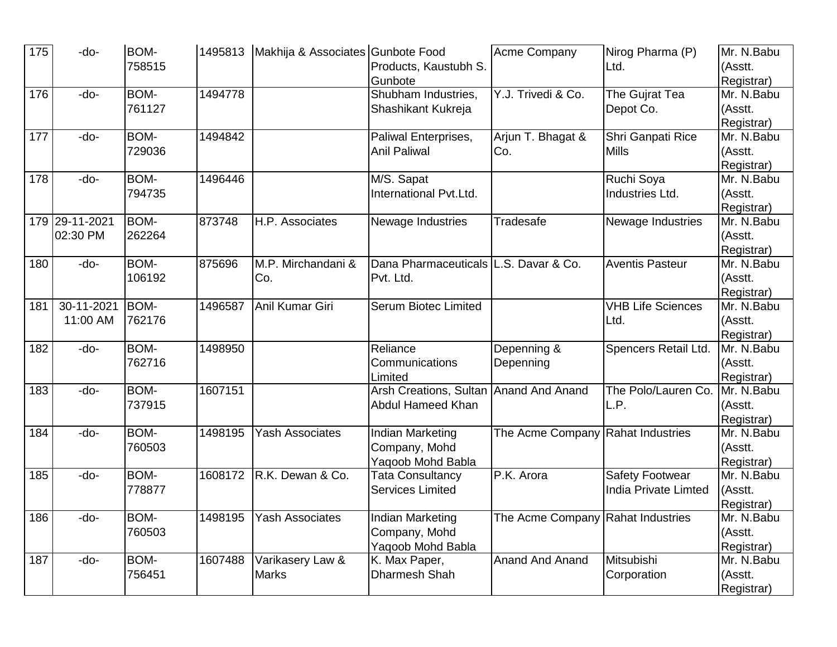| 175 | -do-                       | BOM-<br>758515 |         | 1495813   Makhija & Associates Gunbote Food | Products, Kaustubh S.<br>Gunbote                              | Acme Company                      | Nirog Pharma (P)<br>Ltd.                       | Mr. N.Babu<br>(Asstt.<br>Registrar) |
|-----|----------------------------|----------------|---------|---------------------------------------------|---------------------------------------------------------------|-----------------------------------|------------------------------------------------|-------------------------------------|
| 176 | -do-                       | BOM-<br>761127 | 1494778 |                                             | Shubham Industries,<br>Shashikant Kukreja                     | Y.J. Trivedi & Co.                | The Gujrat Tea<br>Depot Co.                    | Mr. N.Babu<br>(Asstt.<br>Registrar) |
| 177 | -do-                       | BOM-<br>729036 | 1494842 |                                             | Paliwal Enterprises,<br><b>Anil Paliwal</b>                   | Arjun T. Bhagat &<br>Co.          | Shri Ganpati Rice<br><b>Mills</b>              | Mr. N.Babu<br>(Asstt.<br>Registrar) |
| 178 | -do-                       | BOM-<br>794735 | 1496446 |                                             | M/S. Sapat<br>International Pvt.Ltd.                          |                                   | Ruchi Soya<br>Industries Ltd.                  | Mr. N.Babu<br>(Asstt.<br>Registrar) |
|     | 179 29-11-2021<br>02:30 PM | BOM-<br>262264 | 873748  | H.P. Associates                             | Newage Industries                                             | Tradesafe                         | Newage Industries                              | Mr. N.Babu<br>(Asstt.<br>Registrar) |
| 180 | -do-                       | BOM-<br>106192 | 875696  | M.P. Mirchandani &<br>Co.                   | Dana Pharmaceuticals L.S. Davar & Co.<br>Pvt. Ltd.            |                                   | <b>Aventis Pasteur</b>                         | Mr. N.Babu<br>(Asstt.<br>Registrar) |
| 181 | 30-11-2021<br>11:00 AM     | BOM-<br>762176 | 1496587 | Anil Kumar Giri                             | Serum Biotec Limited                                          |                                   | <b>VHB Life Sciences</b><br>Ltd.               | Mr. N.Babu<br>(Asstt.<br>Registrar) |
| 182 | -do-                       | BOM-<br>762716 | 1498950 |                                             | Reliance<br>Communications<br>Limited                         | Depenning &<br>Depenning          | Spencers Retail Ltd.                           | Mr. N.Babu<br>(Asstt.<br>Registrar) |
| 183 | -do-                       | BOM-<br>737915 | 1607151 |                                             | Arsh Creations, Sultan Anand And Anand<br>Abdul Hameed Khan   |                                   | The Polo/Lauren Co.<br>L.P.                    | Mr. N.Babu<br>(Asstt.<br>Registrar) |
| 184 | -do-                       | BOM-<br>760503 | 1498195 | <b>Yash Associates</b>                      | Indian Marketing<br>Company, Mohd<br>Yaqoob Mohd Babla        | The Acme Company Rahat Industries |                                                | Mr. N.Babu<br>(Asstt.<br>Registrar) |
| 185 | -do-                       | BOM-<br>778877 | 1608172 | R.K. Dewan & Co.                            | <b>Tata Consultancy</b><br><b>Services Limited</b>            | P.K. Arora                        | <b>Safety Footwear</b><br>India Private Limted | Mr. N.Babu<br>(Asstt.<br>Registrar) |
| 186 | -do-                       | BOM-<br>760503 | 1498195 | <b>Yash Associates</b>                      | <b>Indian Marketing</b><br>Company, Mohd<br>Yaqoob Mohd Babla | The Acme Company Rahat Industries |                                                | Mr. N.Babu<br>(Asstt.<br>Registrar) |
| 187 | -do-                       | BOM-<br>756451 | 1607488 | Varikasery Law &<br><b>Marks</b>            | K. Max Paper,<br>Dharmesh Shah                                | <b>Anand And Anand</b>            | Mitsubishi<br>Corporation                      | Mr. N.Babu<br>(Asstt.<br>Registrar) |